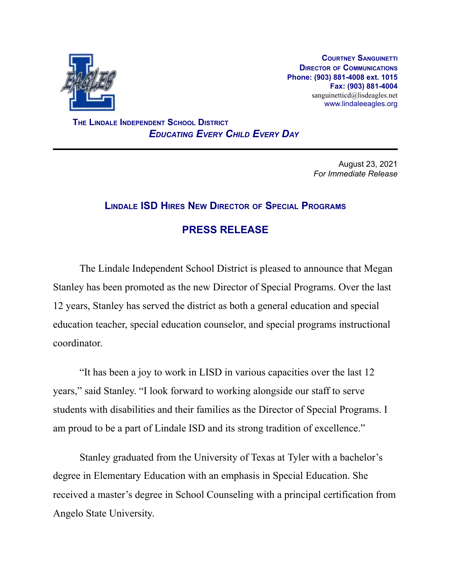

**COURTNEY SANGUINETTI DIRECTOR OF COMMUNICATIONS Phone: (903) 881-4008 ext. 1015 Fax: (903) 881-4004** sanguinetticd@lisdeagles.net www.lindaleeagles.org

**THE LINDALE INDEPENDENT SCHOOL DISTRICT** *EDUCATING EVERY CHILD EVERY DAY*

> August 23, 2021 *For Immediate Release*

## **LINDALE ISD HIRES NEW DIRECTOR OF SPECIAL PROGRAMS**

## **PRESS RELEASE**

The Lindale Independent School District is pleased to announce that Megan Stanley has been promoted as the new Director of Special Programs. Over the last 12 years, Stanley has served the district as both a general education and special education teacher, special education counselor, and special programs instructional coordinator.

"It has been a joy to work in LISD in various capacities over the last 12 years," said Stanley. "I look forward to working alongside our staff to serve students with disabilities and their families as the Director of Special Programs. I am proud to be a part of Lindale ISD and its strong tradition of excellence."

Stanley graduated from the University of Texas at Tyler with a bachelor's degree in Elementary Education with an emphasis in Special Education. She received a master's degree in School Counseling with a principal certification from Angelo State University.